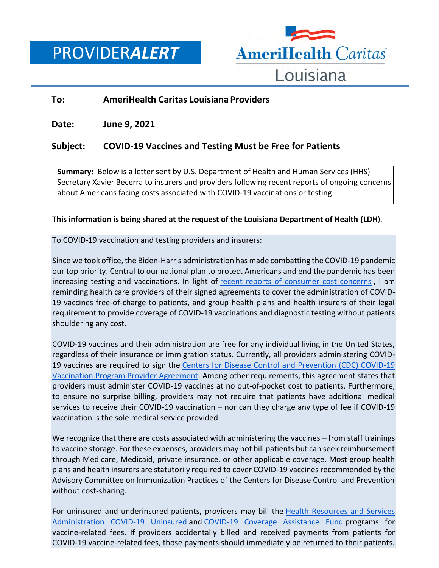PROVIDER*ALERT*



## **To: AmeriHealth Caritas Louisiana Providers**

**Date: June 9, 2021**

# **Subject: COVID-19 Vaccines and Testing Must be Free for Patients**

**Summary:** Below is a letter sent by U.S. Department of Health and Human Services (HHS) Secretary Xavier Becerra to insurers and providers following recent reports of ongoing concerns about Americans facing costs associated with COVID-19 vaccinations or testing.

### **This information is being shared at the request of the Louisiana Department of Health (LDH**).

To COVID-19 vaccination and testing providers and insurers:

Since we took office, the Biden-Harris administration has made combatting the COVID-19 pandemic our top priority. Central to our national plan to protect Americans and end the pandemic has been increasing testing and vaccinations. In light of [recent reports of consumer cost concerns](https://urldefense.proofpoint.com/v2/url?u=https-3A__lnks.gd_l_eyJhbGciOiJIUzI1NiJ9.eyJidWxsZXRpbl9saW5rX2lkIjoxMDIsInVyaSI6ImJwMjpjbGljayIsImJ1bGxldGluX2lkIjoiMjAyMTA2MDkuNDE2NzkxMTEiLCJ1cmwiOiJodHRwczovL3d3dy5ueXRpbWVzLmNvbS8yMDIxLzA2LzAxL3Vwc2hvdC9jb3ZpZC12YWNjaW5lLWhlc2l0YW5jeS1jb3N0Lmh0bWwifQ.h8L9wFoZ2O64jTSA9bdEwrVN3POz2F-2D7NHJqIaKxH7w_s_727683665_br_107644372841-2Dl&d=DwMFAA&c=xlPCXuHzMdaH2Flc1sgyicYpGQbQbU9KDEmgNF3_wI0&r=twCCqm1JvPhYt5yS9X4SG_kWir5G-xiDnnbiMOUj85s&m=n4LFvpc2mW4qjYuiXGWFBeTVXlF-Drxb2Z4kcTP2pDo&s=7qO3u3MsL5Ix0wmjBKgy6R2K0ijoAtvFy5MP1k5OPEo&e=) , I am reminding health care providers of their signed agreements to cover the administration of COVID-19 vaccines free-of-charge to patients, and group health plans and health insurers of their legal requirement to provide coverage of COVID-19 vaccinations and diagnostic testing without patients shouldering any cost.

COVID-19 vaccines and their administration are free for any individual living in the United States, regardless of their insurance or immigration status. Currently, all providers administering COVID-19 vaccines are required to sign the [Centers for Disease Control and Prevention \(CDC\) COVID-19](https://urldefense.proofpoint.com/v2/url?u=https-3A__lnks.gd_l_eyJhbGciOiJIUzI1NiJ9.eyJidWxsZXRpbl9saW5rX2lkIjoxMDQsInVyaSI6ImJwMjpjbGljayIsImJ1bGxldGluX2lkIjoiMjAyMTA2MDkuNDE2NzkxMTEiLCJ1cmwiOiJodHRwczovL3d3dy5jZGMuZ292L3ZhY2NpbmVzL2NvdmlkLTE5L3ZhY2NpbmF0aW9uLXByb3ZpZGVyLXN1cHBvcnQuaHRtbCJ9.TLdPA49ZfXVTY5E4JvdeqIaX-2Dp25nULAIRdbj0pJZtk_s_727683665_br_107644372841-2Dl&d=DwMFAA&c=xlPCXuHzMdaH2Flc1sgyicYpGQbQbU9KDEmgNF3_wI0&r=twCCqm1JvPhYt5yS9X4SG_kWir5G-xiDnnbiMOUj85s&m=n4LFvpc2mW4qjYuiXGWFBeTVXlF-Drxb2Z4kcTP2pDo&s=g9bPz6pAVOF9K8klrNvuVhZBCEfaWa3ehqiuS6-X7KY&e=)  [Vaccination Program Provider Agreement.](https://urldefense.proofpoint.com/v2/url?u=https-3A__lnks.gd_l_eyJhbGciOiJIUzI1NiJ9.eyJidWxsZXRpbl9saW5rX2lkIjoxMDQsInVyaSI6ImJwMjpjbGljayIsImJ1bGxldGluX2lkIjoiMjAyMTA2MDkuNDE2NzkxMTEiLCJ1cmwiOiJodHRwczovL3d3dy5jZGMuZ292L3ZhY2NpbmVzL2NvdmlkLTE5L3ZhY2NpbmF0aW9uLXByb3ZpZGVyLXN1cHBvcnQuaHRtbCJ9.TLdPA49ZfXVTY5E4JvdeqIaX-2Dp25nULAIRdbj0pJZtk_s_727683665_br_107644372841-2Dl&d=DwMFAA&c=xlPCXuHzMdaH2Flc1sgyicYpGQbQbU9KDEmgNF3_wI0&r=twCCqm1JvPhYt5yS9X4SG_kWir5G-xiDnnbiMOUj85s&m=n4LFvpc2mW4qjYuiXGWFBeTVXlF-Drxb2Z4kcTP2pDo&s=g9bPz6pAVOF9K8klrNvuVhZBCEfaWa3ehqiuS6-X7KY&e=) Among other requirements, this agreement states that providers must administer COVID-19 vaccines at no out-of-pocket cost to patients. Furthermore, to ensure no surprise billing, providers may not require that patients have additional medical services to receive their COVID-19 vaccination – nor can they charge any type of fee if COVID-19 vaccination is the sole medical service provided.

We recognize that there are costs associated with administering the vaccines – from staff trainings to vaccine storage. For these expenses, providers may not bill patients but can seek reimbursement through Medicare, Medicaid, private insurance, or other applicable coverage. Most group health plans and health insurers are statutorily required to cover COVID-19 vaccines recommended by the Advisory Committee on Immunization Practices of the Centers for Disease Control and Prevention without cost-sharing.

For uninsured and underinsured patients, providers may bill the **Health Resources and Services** [Administration COVID-19 Uninsured](https://urldefense.proofpoint.com/v2/url?u=https-3A__lnks.gd_l_eyJhbGciOiJIUzI1NiJ9.eyJidWxsZXRpbl9saW5rX2lkIjoxMDUsInVyaSI6ImJwMjpjbGljayIsImJ1bGxldGluX2lkIjoiMjAyMTA2MDkuNDE2NzkxMTEiLCJ1cmwiOiJodHRwczovL3d3dy5ocnNhLmdvdi9Db3ZpZFVuaW5zdXJlZENsYWltIn0.Q2Wgshwg-5FJvsp0oUpfRrIoJIGiUJwNHedUQR1dK79N4_s_727683665_br_107644372841-2Dl&d=DwMFAA&c=xlPCXuHzMdaH2Flc1sgyicYpGQbQbU9KDEmgNF3_wI0&r=twCCqm1JvPhYt5yS9X4SG_kWir5G-xiDnnbiMOUj85s&m=n4LFvpc2mW4qjYuiXGWFBeTVXlF-Drxb2Z4kcTP2pDo&s=PIpivH13zLU0lqe6g0ivWWURvkRRVogpJ7SvX1BaT9E&e=) and [COVID-19 Coverage Assistance Fund](https://urldefense.proofpoint.com/v2/url?u=https-3A__lnks.gd_l_eyJhbGciOiJIUzI1NiJ9.eyJidWxsZXRpbl9saW5rX2lkIjoxMDYsInVyaSI6ImJwMjpjbGljayIsImJ1bGxldGluX2lkIjoiMjAyMTA2MDkuNDE2NzkxMTEiLCJ1cmwiOiJodHRwczovL3d3dy5ocnNhLmdvdi9jb3ZpZDE5LWNvdmVyYWdlLWFzc2lzdGFuY2UifQ.ObbkzgOErD0XOPxWqhTyvrQqBj4tw1HlOOjEb4fdpa8_s_727683665_br_107644372841-2Dl&d=DwMFAA&c=xlPCXuHzMdaH2Flc1sgyicYpGQbQbU9KDEmgNF3_wI0&r=twCCqm1JvPhYt5yS9X4SG_kWir5G-xiDnnbiMOUj85s&m=n4LFvpc2mW4qjYuiXGWFBeTVXlF-Drxb2Z4kcTP2pDo&s=a-bdlVNYRYc_q90_79I6g6dbSNjcSwAddCODlduTqhY&e=) programs for vaccine-related fees. If providers accidentally billed and received payments from patients for COVID-19 vaccine-related fees, those payments should immediately be returned to their patients.